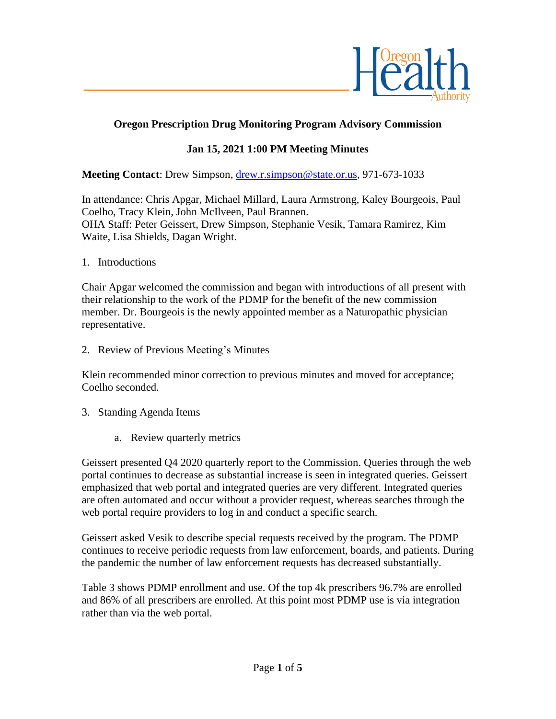

## **Oregon Prescription Drug Monitoring Program Advisory Commission**

### **Jan 15, 2021 1:00 PM Meeting Minutes**

**Meeting Contact**: Drew Simpson, [drew.r.simpson@state.or.us,](mailto:drew.r.simpson@state.or.us) 971-673-1033

In attendance: Chris Apgar, Michael Millard, Laura Armstrong, Kaley Bourgeois, Paul Coelho, Tracy Klein, John McIlveen, Paul Brannen. OHA Staff: Peter Geissert, Drew Simpson, Stephanie Vesik, Tamara Ramirez, Kim Waite, Lisa Shields, Dagan Wright.

1. Introductions

Chair Apgar welcomed the commission and began with introductions of all present with their relationship to the work of the PDMP for the benefit of the new commission member. Dr. Bourgeois is the newly appointed member as a Naturopathic physician representative.

2. Review of Previous Meeting's Minutes

Klein recommended minor correction to previous minutes and moved for acceptance; Coelho seconded.

- 3. Standing Agenda Items
	- a. Review quarterly metrics

Geissert presented Q4 2020 quarterly report to the Commission. Queries through the web portal continues to decrease as substantial increase is seen in integrated queries. Geissert emphasized that web portal and integrated queries are very different. Integrated queries are often automated and occur without a provider request, whereas searches through the web portal require providers to log in and conduct a specific search.

Geissert asked Vesik to describe special requests received by the program. The PDMP continues to receive periodic requests from law enforcement, boards, and patients. During the pandemic the number of law enforcement requests has decreased substantially.

Table 3 shows PDMP enrollment and use. Of the top 4k prescribers 96.7% are enrolled and 86% of all prescribers are enrolled. At this point most PDMP use is via integration rather than via the web portal.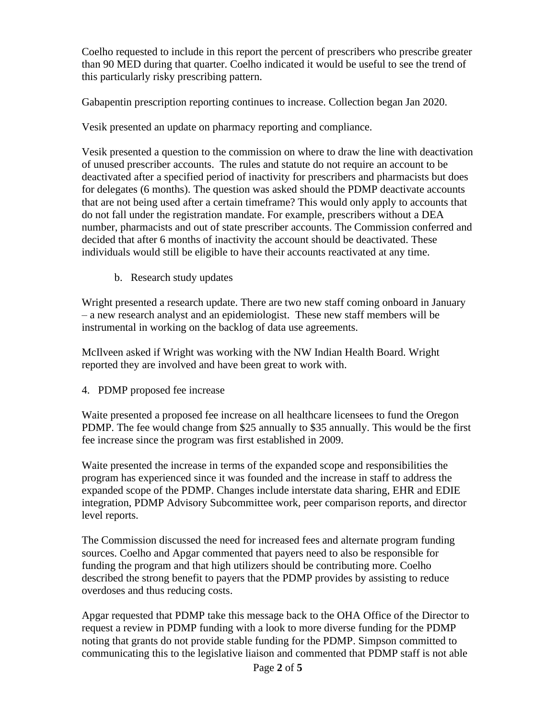Coelho requested to include in this report the percent of prescribers who prescribe greater than 90 MED during that quarter. Coelho indicated it would be useful to see the trend of this particularly risky prescribing pattern.

Gabapentin prescription reporting continues to increase. Collection began Jan 2020.

Vesik presented an update on pharmacy reporting and compliance.

Vesik presented a question to the commission on where to draw the line with deactivation of unused prescriber accounts. The rules and statute do not require an account to be deactivated after a specified period of inactivity for prescribers and pharmacists but does for delegates (6 months). The question was asked should the PDMP deactivate accounts that are not being used after a certain timeframe? This would only apply to accounts that do not fall under the registration mandate. For example, prescribers without a DEA number, pharmacists and out of state prescriber accounts. The Commission conferred and decided that after 6 months of inactivity the account should be deactivated. These individuals would still be eligible to have their accounts reactivated at any time.

b. Research study updates

Wright presented a research update. There are two new staff coming onboard in January – a new research analyst and an epidemiologist. These new staff members will be instrumental in working on the backlog of data use agreements.

McIlveen asked if Wright was working with the NW Indian Health Board. Wright reported they are involved and have been great to work with.

4. PDMP proposed fee increase

Waite presented a proposed fee increase on all healthcare licensees to fund the Oregon PDMP. The fee would change from \$25 annually to \$35 annually. This would be the first fee increase since the program was first established in 2009.

Waite presented the increase in terms of the expanded scope and responsibilities the program has experienced since it was founded and the increase in staff to address the expanded scope of the PDMP. Changes include interstate data sharing, EHR and EDIE integration, PDMP Advisory Subcommittee work, peer comparison reports, and director level reports.

The Commission discussed the need for increased fees and alternate program funding sources. Coelho and Apgar commented that payers need to also be responsible for funding the program and that high utilizers should be contributing more. Coelho described the strong benefit to payers that the PDMP provides by assisting to reduce overdoses and thus reducing costs.

Apgar requested that PDMP take this message back to the OHA Office of the Director to request a review in PDMP funding with a look to more diverse funding for the PDMP noting that grants do not provide stable funding for the PDMP. Simpson committed to communicating this to the legislative liaison and commented that PDMP staff is not able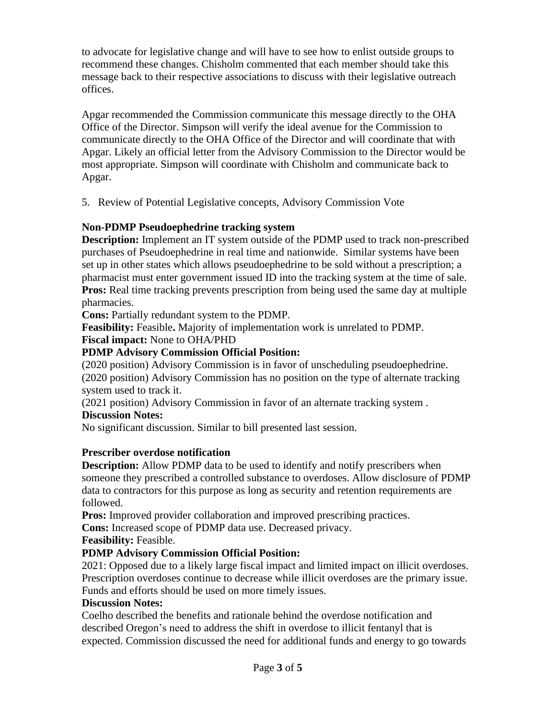to advocate for legislative change and will have to see how to enlist outside groups to recommend these changes. Chisholm commented that each member should take this message back to their respective associations to discuss with their legislative outreach offices.

Apgar recommended the Commission communicate this message directly to the OHA Office of the Director. Simpson will verify the ideal avenue for the Commission to communicate directly to the OHA Office of the Director and will coordinate that with Apgar. Likely an official letter from the Advisory Commission to the Director would be most appropriate. Simpson will coordinate with Chisholm and communicate back to Apgar.

5. Review of Potential Legislative concepts, Advisory Commission Vote

## **Non-PDMP Pseudoephedrine tracking system**

**Description:** Implement an IT system outside of the PDMP used to track non-prescribed purchases of Pseudoephedrine in real time and nationwide. Similar systems have been set up in other states which allows pseudoephedrine to be sold without a prescription; a pharmacist must enter government issued ID into the tracking system at the time of sale. **Pros:** Real time tracking prevents prescription from being used the same day at multiple pharmacies.

**Cons:** Partially redundant system to the PDMP.

**Feasibility:** Feasible**.** Majority of implementation work is unrelated to PDMP.

# **Fiscal impact:** None to OHA/PHD

# **PDMP Advisory Commission Official Position:**

(2020 position) Advisory Commission is in favor of unscheduling pseudoephedrine. (2020 position) Advisory Commission has no position on the type of alternate tracking system used to track it.

(2021 position) Advisory Commission in favor of an alternate tracking system . **Discussion Notes:**

No significant discussion. Similar to bill presented last session.

## **Prescriber overdose notification**

**Description:** Allow PDMP data to be used to identify and notify prescribers when someone they prescribed a controlled substance to overdoses. Allow disclosure of PDMP data to contractors for this purpose as long as security and retention requirements are followed.

**Pros:** Improved provider collaboration and improved prescribing practices.

**Cons:** Increased scope of PDMP data use. Decreased privacy.

**Feasibility:** Feasible.

## **PDMP Advisory Commission Official Position:**

2021: Opposed due to a likely large fiscal impact and limited impact on illicit overdoses. Prescription overdoses continue to decrease while illicit overdoses are the primary issue. Funds and efforts should be used on more timely issues.

## **Discussion Notes:**

Coelho described the benefits and rationale behind the overdose notification and described Oregon's need to address the shift in overdose to illicit fentanyl that is expected. Commission discussed the need for additional funds and energy to go towards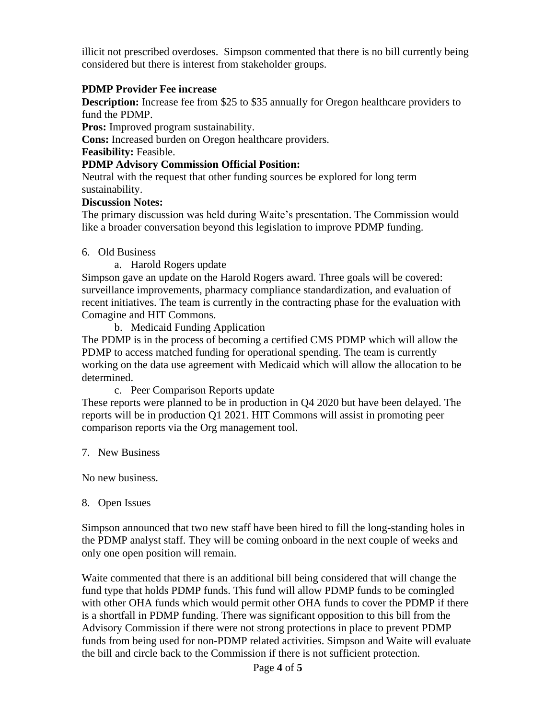illicit not prescribed overdoses. Simpson commented that there is no bill currently being considered but there is interest from stakeholder groups.

#### **PDMP Provider Fee increase**

**Description:** Increase fee from \$25 to \$35 annually for Oregon healthcare providers to fund the PDMP.

**Pros:** Improved program sustainability.

**Cons:** Increased burden on Oregon healthcare providers.

**Feasibility:** Feasible.

#### **PDMP Advisory Commission Official Position:**

Neutral with the request that other funding sources be explored for long term sustainability.

#### **Discussion Notes:**

The primary discussion was held during Waite's presentation. The Commission would like a broader conversation beyond this legislation to improve PDMP funding.

#### 6. Old Business

a. Harold Rogers update

Simpson gave an update on the Harold Rogers award. Three goals will be covered: surveillance improvements, pharmacy compliance standardization, and evaluation of recent initiatives. The team is currently in the contracting phase for the evaluation with Comagine and HIT Commons.

b. Medicaid Funding Application

The PDMP is in the process of becoming a certified CMS PDMP which will allow the PDMP to access matched funding for operational spending. The team is currently working on the data use agreement with Medicaid which will allow the allocation to be determined.

c. Peer Comparison Reports update

These reports were planned to be in production in Q4 2020 but have been delayed. The reports will be in production Q1 2021. HIT Commons will assist in promoting peer comparison reports via the Org management tool.

7. New Business

No new business.

#### 8. Open Issues

Simpson announced that two new staff have been hired to fill the long-standing holes in the PDMP analyst staff. They will be coming onboard in the next couple of weeks and only one open position will remain.

Waite commented that there is an additional bill being considered that will change the fund type that holds PDMP funds. This fund will allow PDMP funds to be comingled with other OHA funds which would permit other OHA funds to cover the PDMP if there is a shortfall in PDMP funding. There was significant opposition to this bill from the Advisory Commission if there were not strong protections in place to prevent PDMP funds from being used for non-PDMP related activities. Simpson and Waite will evaluate the bill and circle back to the Commission if there is not sufficient protection.